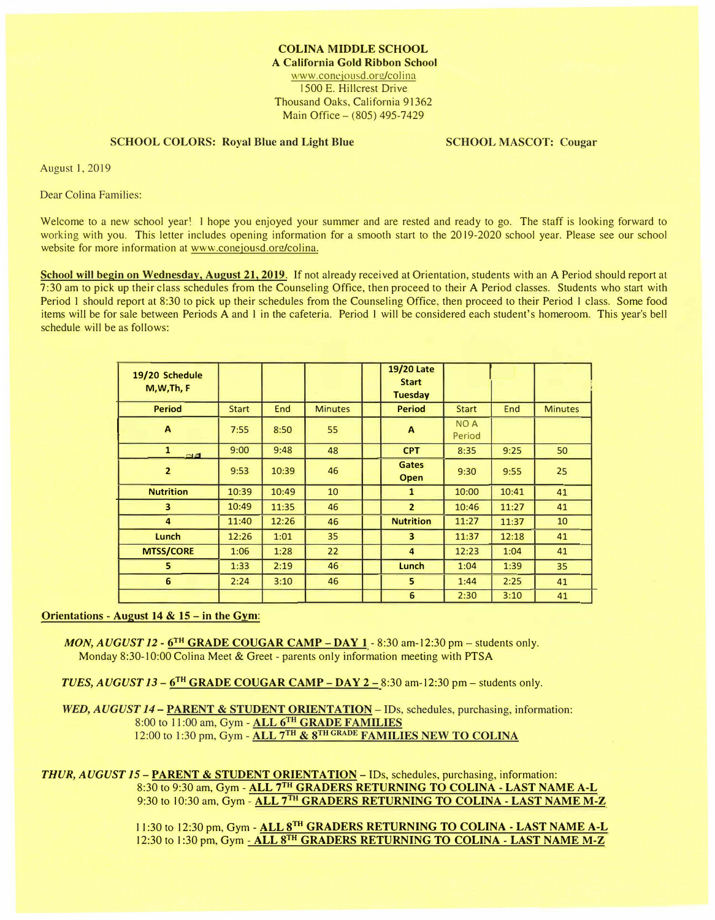www.conejousd.org/colina 1500 E. Hillcrest Drive Thousand Oaks, California 91362 Main Office  $- (805)$  495-7429

# **SCHOOL COLORS: Royal Blue and Light Blue**

**SCHOOL MASCOT: Cougar** 

**August 1, 2019** 

Dear Colina Families:

Welcome to a new school year! I hope you enjoyed your summer and are rested and ready to go. The staff is looking forward to working with you. This letter includes opening information for a smooth start to the 2019-2020 school year. Please see our school website for more information at www.conejousd.org/colina.

**School will begin on Wednesday, August 21, 2019.** If not already received at Orientation, students with an A Period should report at 7:30 am to pick up their class schedules from the Counseling Office, then proceed to their A Period classes. Students who start with Period 1 should report at 8:30 to pick up their schedules from the Counseling Office, then proceed to their Period 1 class. Some food items will be for sale between Periods A and I in the cafeteria. Period I will be considered each student's homeroom. This year's bell schedule will be as follows: iF� **�i�it•** .

| 19/20 Schedule<br>M, W, Th, F |              |       |                | <b>19/20 Late</b><br><b>Start</b><br><b>Tuesday</b> |                      |       |                |
|-------------------------------|--------------|-------|----------------|-----------------------------------------------------|----------------------|-------|----------------|
| <b>Period</b>                 | <b>Start</b> | End   | <b>Minutes</b> | <b>Period</b>                                       | <b>Start</b>         | End   | <b>Minutes</b> |
| $\mathbf{A}$                  | 7:55         | 8:50  | 55             | A                                                   | <b>NOA</b><br>Period |       |                |
| $\mathbf{1}$<br><b>FIEL</b>   | 9:00         | 9:48  | 48             | <b>CPT</b>                                          | 8:35                 | 9:25  | 50             |
| $\overline{2}$                | 9:53         | 10:39 | 46             | <b>Gates</b><br>Open                                | 9:30                 | 9:55  | 25             |
| <b>Nutrition</b>              | 10:39        | 10:49 | 10             | $\mathbf{1}$                                        | 10:00                | 10:41 | 41             |
| $\overline{\mathbf{3}}$       | 10:49        | 11:35 | 46             | $\overline{2}$                                      | 10:46                | 11:27 | 41             |
| $\overline{4}$                | 11:40        | 12:26 | 46             | <b>Nutrition</b>                                    | 11:27                | 11:37 | 10             |
| Lunch                         | 12:26        | 1:01  | 35             | 3                                                   | 11:37                | 12:18 | 41             |
| <b>MTSS/CORE</b>              | 1:06         | 1:28  | 22             | $\overline{\mathbf{4}}$                             | 12:23                | 1:04  | 41             |
| 5                             | 1:33         | 2:19  | 46             | Lunch                                               | 1:04                 | 1:39  | 35             |
| 6                             | 2:24         | 3:10  | 46             | 5.                                                  | 1:44                 | 2:25  | 41             |
|                               |              |       |                | 6                                                   | 2:30                 | 3:10  | 41             |

- MON, AUGUST 12 6<sup>TH</sup> GRADE COUGAR CAMP DAY 1 8:30 am-12:30 pm students only. Monday 8:30-10:00 Colina Meet **&** Greet - parents only information meeting with PTSA
- *TUES, AUGUST 13*  6TH **GRADE COUGAR CAMP DAY 2**  8:30 am-12:30 pm students only.

**WED, AUGUST 14 – PARENT & STUDENT ORIENTATION – IDs, schedules, purchasing, information:** 8:00 to 11:00 am, Gym - ALL 6TH GRADE FAMILIES 12:00 to 1:30 pm, Gym - ALL 7TH & 8TH GRADE FAMILIES NEW TO COLINA

*THUR, AUGUST 15* - **PARENT** & **STUDENT ORIENTATION** - IDs, schedules, purchasing, information: 8:30 to 9:30 am, Gym - **ALL** 7 TH **GRADERS RETURNING TO COLINA** - **LAST NAME A-L**  9:30 10 I 0:30 am, Gym - **ALL <sup>7</sup> TH GRADERS RETURNING TO COLINA** - **LAST NAME M-Z** 

> 11:30 to 12:30 pm, Gym - **ALL 8<sup>TH</sup> GRADERS RETURNING TO COLINA - LAST NAME A-L** 12:30 to 1:30 pm, Gym  $\text{-}\Lambda\text{LL}8\text{TH}$  GRADERS RETURNING TO COLINA - LAST NAME M-Z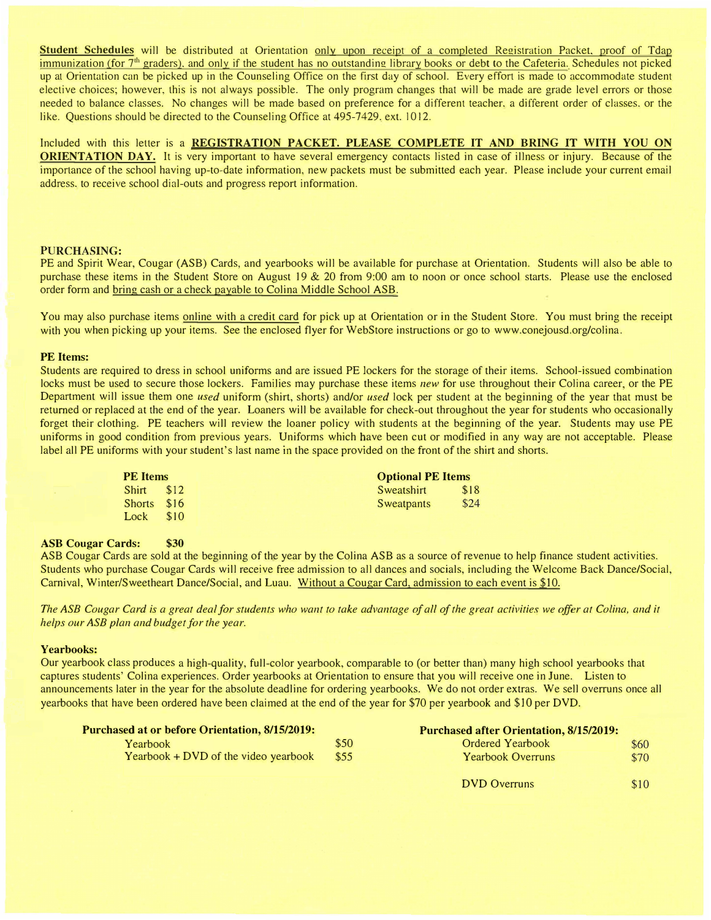**Student Schedules** will be distributed at Orientation only upon receipt of a completed Registration Packet, proof of Tdap immunization (for 7<sup>th</sup> graders), and only if the student has no outstanding library books or debt to the Cafeteria. Schedules not picked up at Orientation can be ricked up in the Counseling Office on the first day of school. Every effort is made to accommodate student elective choices: however, this is not always possible. The only program changes that will be made are grade level errors or those needed to balance classes. No changes will be made based on preference for a different teacher. a different order of classes. or the like. Questions should be directed to the Counseling Office at 495-7429. ext. IO 12.

Included with this letter is a **REGISTRATION PACKET. PLEASE COMPLETE IT AND BRING** IT **WITH YOU ON ORIENTATION DAY.** It is very important to have several emergency contacts listed in case of illness or injury. Because of the importance of the school having up-to-date information. new packets must be submitted each year. Please include your current email address. to receive school dial-outs and progress report information.

## **PURCHASING:**

PE and Spirit Wear, Cougar (ASB) Cards, and yearbooks will be available for purchase at Orientation. Students will also be able to purchase these items in the Student Store on August 19 & 20 from 9:00 am to noon or once school starts. Please use the enclosed order form and bring cash or a check payable to Colina Middle School ASB.

You may also purchase items online with a credit card for pick up at Orientation or in the Student Store. You must bring the receipt with you when picking up your items. See the enclosed flyer for WebStore instructions or go to www.conejousd.org/colina.

#### **PE Items:**

Students are required to dress in school uniforms and are issued PE Jockers *for* the storage of their items. School-issued combination locks must be used to secure those lockers. Families may purchase these items *new* for use throughout their Colina career, or the PE Department will issue them one *used* uniform (shirt, shorts) and/or *used* lock per student at the beginning of the year that must be returned or replaced at the end of the year. Loaners will be available for check-out throughout the year for students who occasionally forget their clothing. PE teachers will review the loaner policy with students at the beginning of the year. Students may use PE uniforms in good condition from previous years. Uniforms which have been cut or modified in any way are not acceptable. Please label all PE uniforms with your student's last name in the space provided on the front of the shirt and shorts.

| <b>PE</b> Items |      | <b>Optional PE Items</b> |  |  |  |
|-----------------|------|--------------------------|--|--|--|
| Shirt \$12      |      | \$18<br>Sweatshirt       |  |  |  |
| Shorts \$16     |      | \$24<br>Sweatpants       |  |  |  |
| Lock            | \$10 |                          |  |  |  |

## **ASB Cougar Cards: \$30**

ASB Cougar Cards are sold at the beginning of the year by the Colina ASB as a source of revenue to help finance student activities. Students who purchase Cougar Cards will receive free admission to all dances and socials, including the Welcome Back Dance/Social, Carnival, Winter/Sweetheart Dance/Social, and Luau. Without a Cougar Card, admission to each event is \$10.

The ASB Cougar Card is a great deal for students who want to take advantage of all of the great activities we offer at Colina, and it *helps our ASB plan and budget.for the year.* 

## **Yearbooks:** �

� Our yearbook class produces a high-quality, full-color yearbook, comparable to (or better than) many high school yearbooks that captures students' Colina experiences. Order yearbooks at Orientation to ensure that you will receive one in June. Listen to<br>announcements later in the year for the absolute deadline for ordering yearbooks. We do not order � yearbooks that have been ordered have been claimed at the end of the year for \$70 per yearbook and \$JO per DVD.

| <b>Purchased at or before Orientation, 8/15/2019:</b> | <b>Purchased after Orientation, 8/15/2019:</b> |                          |      |
|-------------------------------------------------------|------------------------------------------------|--------------------------|------|
| Yearbook                                              | \$50                                           | <b>Ordered Yearbook</b>  | \$60 |
| Yearbook $+$ DVD of the video yearbook                | \$55                                           | <b>Yearbook Overruns</b> | \$70 |
|                                                       |                                                | <b>DVD</b> Overruns      | \$10 |

\$10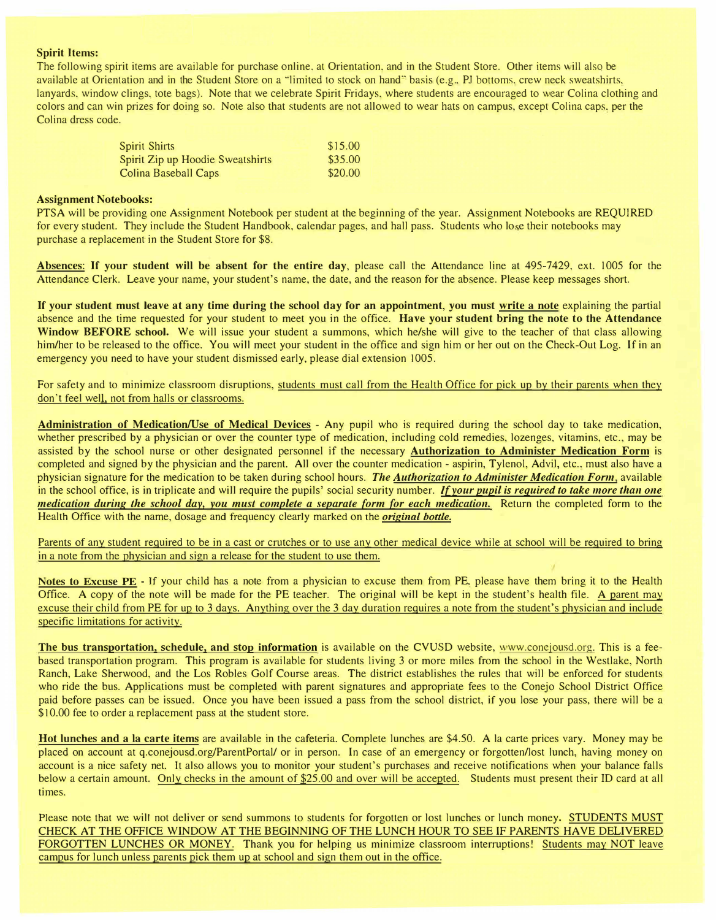### **Spirit Items:**

The following spirit items are available for purchase online, at Orientation, and in the Student Store. Other items will also be available at Orientation and in the Student Store on a "limited to stock on hand" basis (e.g., PJ bottoms, crew neck sweatshirts, lanyards, window clings, tote bags). Note that we celebrate Spirit Fridays, where students are encouraged to wear Colina clothing and colors and can win prizes for doing so. Note also that students are not allowed to wear hats on campus. except Colina caps. per the Colina dress code.

| <b>Spirit Shirts</b>             | \$15.00 |
|----------------------------------|---------|
| Spirit Zip up Hoodie Sweatshirts | \$35.00 |
| Colina Baseball Caps             | \$20.00 |

#### **Assignment Notebooks:**

PTSA will be providing one Assignment Notebook per student at the beginning of the year. Assignment Notebooks are REQUIRED for every student. They include the Student Handbook, calendar pages, and hall pass. Students who lose their notebooks may purchase a replacement in the Student Store for \$8.

Absences: If your student will be absent for the entire day, please call the Attendance line at 495-7429, ext. 1005 for the Attendance Clerk. Leave your name. your student"s name, the date. and the reason for the absence. Please keep messages short.

**If your student must leave at any time during the school day for an appointment, you must write a note** explaining the partial absence and the time requested for your student to meet you in the office. **Have your student bring the note to the Attendance** Window BEFORE school. We will issue your student a summons, which he/she will give to the teacher of that class allowing him/her to be released to the office. You will meet your student in the office and sign him or her out on the Check-Out Log. If in an emergency you need to have your student dismissed early, please dial extension 1005.

For safety and to minimize classroom disruptions, students must call from the Health Office for pick up by their parents when they don't feel well, not from halls or classrooms.

**Administration of Medication/Use of Medical Devices** - Any pupil who is required during the school day to take medication. whether prescribed by a physician or over the counter type of medication, including cold remedies, lozenges, vitamins, etc., may be assisted by the school nurse or other designated personnel if the necessary **Authorization to Administer Medication Form** is completed and signed by the physician and the parent. All over the counter medication - aspirin, Tylenol, Advil, etc., must also have a physician signature for the medication to be taken during school hours. *The Authorization to Administer Medication Form,* available in the school office. is in triplicate and will require the pupils· social security number. *If your pupil is required to take more than one medication during the school day, you must complete a separate form for each medication.* Return the completed form to the Health Office with the name, dosage and frequency clearly marked on rhe *original bottle.*

Parents of any student required to be in a cast or crutches or to use any other medical device while at school will be required to bring in a note from the physician and sign a release for the student to use them.

**Notes to Excuse PE** - If your child has a note from a physician to excuse them from PE. please have them bring it to the Health Office. A copy of the note will be made for the PE teacher. The original will be kept in the studenr·s health file. A parent may excuse their child from PE for up to 3 days. Anything over the 3 day duration requires a note from the student's physician and include specific limitations for activity.

The bus transportation, schedule, and stop information is available on the CVUSD website, www.conejousd.org. This is a feebased transportation program. This program is available for students living 3 or more miles from the school in the Westlake, North Ranch. Lake Sherwood. and the Los Robles Golf Course areas. The district establishes the rules that will be enforced for students who ride the bus. Applications must be completed with parent signatures and appropriate fees to the Conejo School District Office paid before passes can be issued. Once you have been issued a pass from the school district, if you lose your pass. there will be a \$10.00 fee to order a replacement pass at the student store.

**Hot lunches and a la carte items** are available in the cafeteria. Complete lunches are \$4.50. A la carte prices vary. Money may be placed on account at q.conejousd.org/ParentPortal/ or in person. In case of an emergency or forgotten/lost lunch. having money on account is a nice safety net. It also allows you to monitor your student's purchases and receive notifications when your balance falls below a certain amount. Only checks in the amount of \$25.00 and over will be accepted. Students must present their ID card at all times.

Please note that we will not deliver or send summons to students for forgotten or lost lunches or lunch money. STUDENTS MUST CHECK AT THE OFFICE WINDOW AT THE BEGINNING OF THE LUNCH HOUR TO SEE IF PARENTS HAVE DELIVERED FORGOTTEN LUNCHES OR MONEY. Thank you for helping us minimize classroom interruptions! Students may NOT leave campus for lunch unless parents pick them up at school and sign them out in the office.